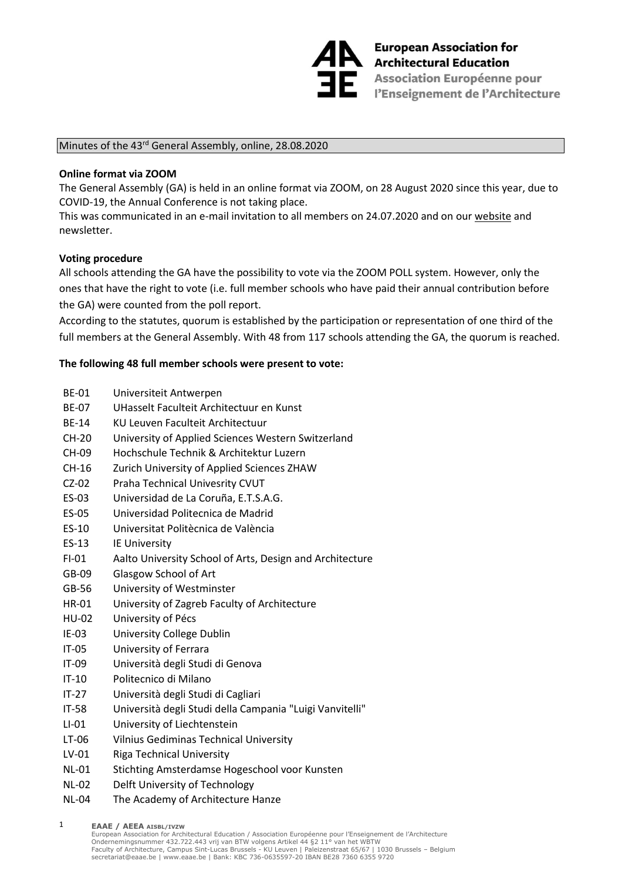

**European Association fo<br>Architectural Education<br>Association Européenne European Association for En Association Européenne pour<br>En l'Enseignement de l'Architecture** 

## Minutes of the 43<sup>rd</sup> General Assembly, online, 28.08.2020

## **Online format via ZOOM**

The General Assembly (GA) is held in an online format via ZOOM, on 28 August 2020 since this year, due to COVID-19, the Annual Conference is not taking place.

This was communicated in an e-mail invitation to all members on 24.07.2020 and on our [website](http://www.eaae.be/event/general-assembly-2020/) and newsletter.

## **Voting procedure**

All schools attending the GA have the possibility to vote via the ZOOM POLL system. However, only the ones that have the right to vote (i.e. full member schools who have paid their annual contribution before the GA) were counted from the poll report.

According to the statutes, quorum is established by the participation or representation of one third of the full members at the General Assembly. With 48 from 117 schools attending the GA, the quorum is reached.

## **The following 48 full member schools were present to vote:**

- BE-01 Universiteit Antwerpen
- BE-07 UHasselt Faculteit Architectuur en Kunst
- BE-14 KU Leuven Faculteit Architectuur
- CH-20 University of Applied Sciences Western Switzerland
- CH-09 Hochschule Technik & Architektur Luzern
- CH-16 Zurich University of Applied Sciences ZHAW
- CZ-02 Praha Technical Univesrity CVUT
- ES-03 Universidad de La Coruña, E.T.S.A.G.
- ES-05 Universidad Politecnica de Madrid
- ES-10 Universitat Politècnica de València
- ES-13 IE University
- FI-01 Aalto University School of Arts, Design and Architecture
- GB-09 Glasgow School of Art
- GB-56 University of Westminster
- HR-01 University of Zagreb Faculty of Architecture
- HU-02 University of Pécs
- IE-03 University College Dublin
- IT-05 University of Ferrara
- IT-09 Università degli Studi di Genova
- IT-10 Politecnico di Milano
- IT-27 Università degli Studi di Cagliari
- IT-58 Università degli Studi della Campania "Luigi Vanvitelli"
- LI-01 University of Liechtenstein
- LT-06 Vilnius Gediminas Technical University
- LV-01 Riga Technical University
- NL-01 Stichting Amsterdamse Hogeschool voor Kunsten
- NL-02 Delft University of Technology
- NL-04 The [Academy of Architecture](https://www.eaae.be/wp-admin/post.php?post=7913&action=edit&classic-editor) Hanze

**EAAE / AEEA AISBL/IVZW** 1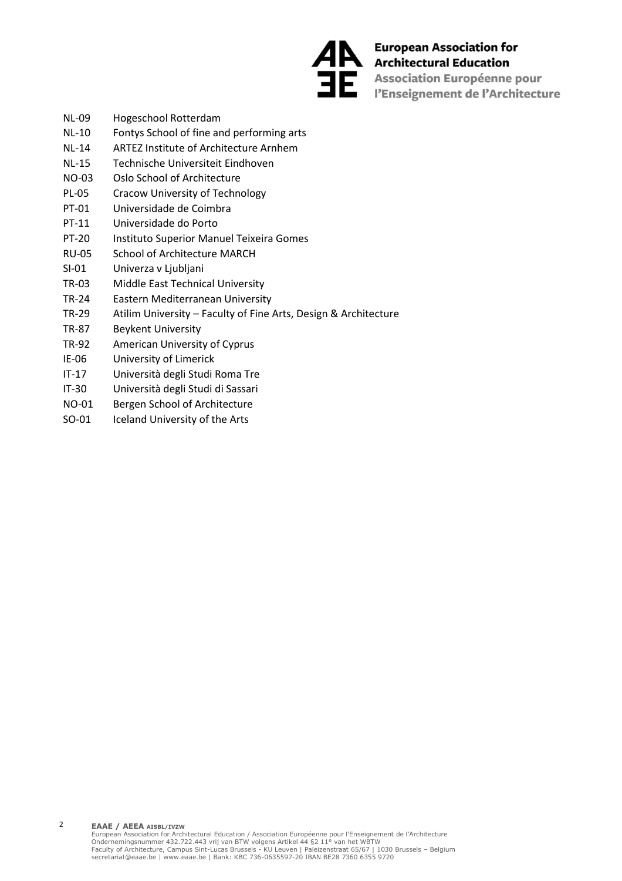

European Association fo<br>Anchitectural Education **European Association for** The Association Européenne pour<br>
l'Enseignement de l'Architecture

- NL-09 Hogeschool Rotterdam
- NL-10 Fontys School of fine and performing arts
- NL-14 ARTEZ Institute of Architecture Arnhem
- NL-15 Technische Universiteit Eindhoven
- NO-03 Oslo School of Architecture
- PL-05 Cracow University of Technology
- PT-01 Universidade de Coimbra
- PT-11 Universidade do Porto
- PT-20 Instituto Superior Manuel Teixeira Gomes
- RU-05 School of Architecture MARCH
- SI-01 Univerza v Ljubljani
- TR-03 Middle East Technical University
- TR-24 Eastern Mediterranean University
- TR-29 Atilim University Faculty of Fine Arts, Design & Architecture
- TR-87 Beykent University
- TR-92 American University of Cyprus
- IE-06 University of Limerick
- IT-17 Università degli Studi Roma Tre
- IT-30 Università degli Studi di Sassari
- NO-01 Bergen School of Architecture
- SO-01 Iceland University of the Arts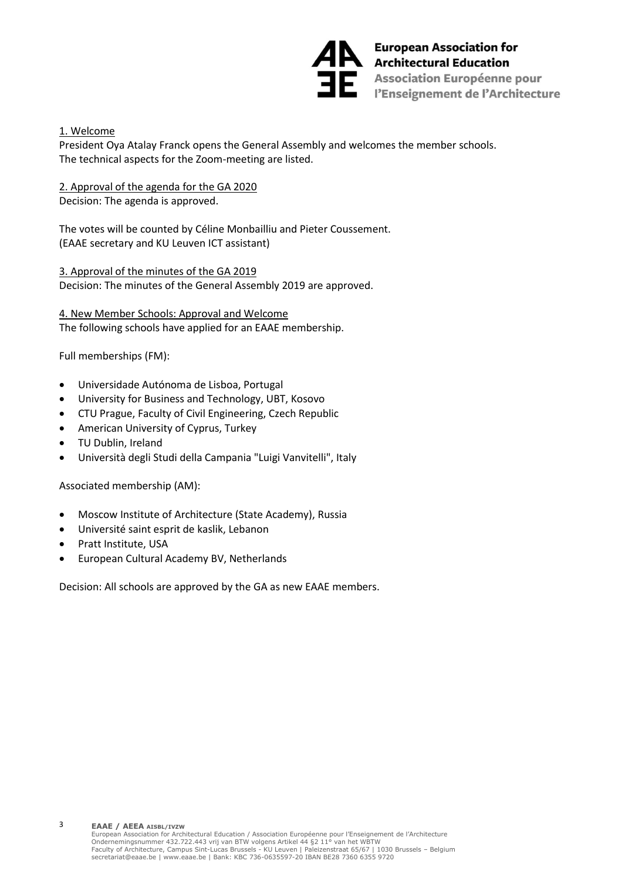

European Association for<br>Architectural Education Association Européenne pour<br>
l'Enseignement de l'Architecture

1. Welcome

President Oya Atalay Franck opens the General Assembly and welcomes the member schools. The technical aspects for the Zoom-meeting are listed.

2. Approval of the agenda for the GA 2020

Decision: The agenda is approved.

The votes will be counted by Céline Monbailliu and Pieter Coussement. (EAAE secretary and KU Leuven ICT assistant)

3. Approval of the minutes of the GA 2019 Decision: The minutes of the General Assembly 2019 are approved.

4. New Member Schools: Approval and Welcome The following schools have applied for an EAAE membership.

Full memberships (FM):

- Universidade Autónoma de Lisboa, Portugal
- University for Business and Technology, UBT, Kosovo
- CTU Prague, Faculty of Civil Engineering, Czech Republic
- American University of Cyprus, Turkey
- TU Dublin, Ireland
- Università degli Studi della Campania "Luigi Vanvitelli", Italy

Associated membership (AM):

- Moscow Institute of Architecture (State Academy), Russia
- Université saint esprit de kaslik, Lebanon
- Pratt Institute, USA

3

• European Cultural Academy BV, Netherlands

Decision: All schools are approved by the GA as new EAAE members.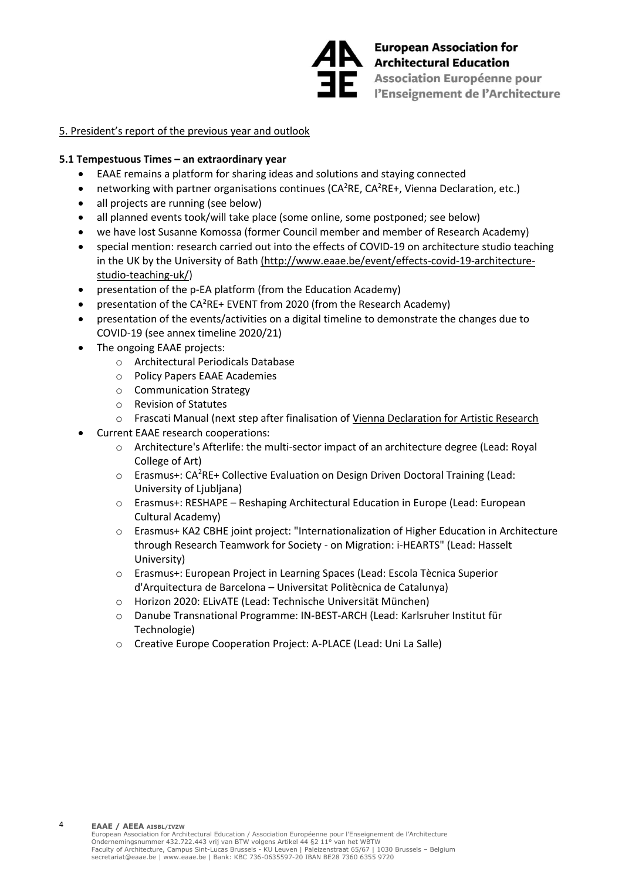

European Association for<br>Architectural Education Association Européenne pour<br>
l'Enseignement de l'Architecture

## 5. President's report of the previous year and outlook

## **5.1 Tempestuous Times – an extraordinary year**

- EAAE remains a platform for sharing ideas and solutions and staying connected
- networking with partner organisations continues ( $CA<sup>2</sup>RE$ ,  $CA<sup>2</sup>RE+$ , Vienna Declaration, etc.)
- all projects are running (see below)
- all planned events took/will take place (some online, some postponed; see below)
- we have lost Susanne Komossa (former Council member and member of Research Academy)
- special mention: research carried out into the effects of COVID-19 on architecture studio teaching in the UK by the University of Bath [\(http://www.eaae.be/event/effects-covid-19-architecture](http://www.eaae.be/event/effects-covid-19-architecture-studio-teaching-uk/)[studio-teaching-uk/\)](http://www.eaae.be/event/effects-covid-19-architecture-studio-teaching-uk/)
- presentation of the p-EA platform (from the Education Academy)
- presentation of the CA²RE+ EVENT from 2020 (from the Research Academy)
- presentation of the events/activities on a digital timeline to demonstrate the changes due to COVID-19 (see annex timeline 2020/21)
- The ongoing EAAE projects:

4

- o Architectural Periodicals Database
- o Policy Papers EAAE Academies
- o Communication Strategy
- o Revision of Statutes
- o Frascati Manual (next step after finalisation of [Vienna Declaration for Artistic Research](http://www.eaae.be/event/vienna-declaration-artistic-research/)
- Current EAAE research cooperations:
	- o Architecture's Afterlife: the multi-sector impact of an architecture degree (Lead: Royal College of Art)
	- o Erasmus+: CA<sup>2</sup>RE+ Collective Evaluation on Design Driven Doctoral Training (Lead: University of Ljubljana)
	- o Erasmus+: RESHAPE Reshaping Architectural Education in Europe (Lead: European Cultural Academy)
	- o Erasmus+ KA2 CBHE joint project: "Internationalization of Higher Education in Architecture through Research Teamwork for Society - on Migration: i-HEARTS" (Lead: Hasselt University)
	- o Erasmus+: European Project in Learning Spaces (Lead: Escola Tècnica Superior d'Arquitectura de Barcelona – Universitat Politècnica de Catalunya)
	- o Horizon 2020: ELivATE (Lead: Technische Universität München)
	- o Danube Transnational Programme: IN-BEST-ARCH (Lead: Karlsruher Institut für Technologie)
	- o Creative Europe Cooperation Project: A-PLACE (Lead: Uni La Salle)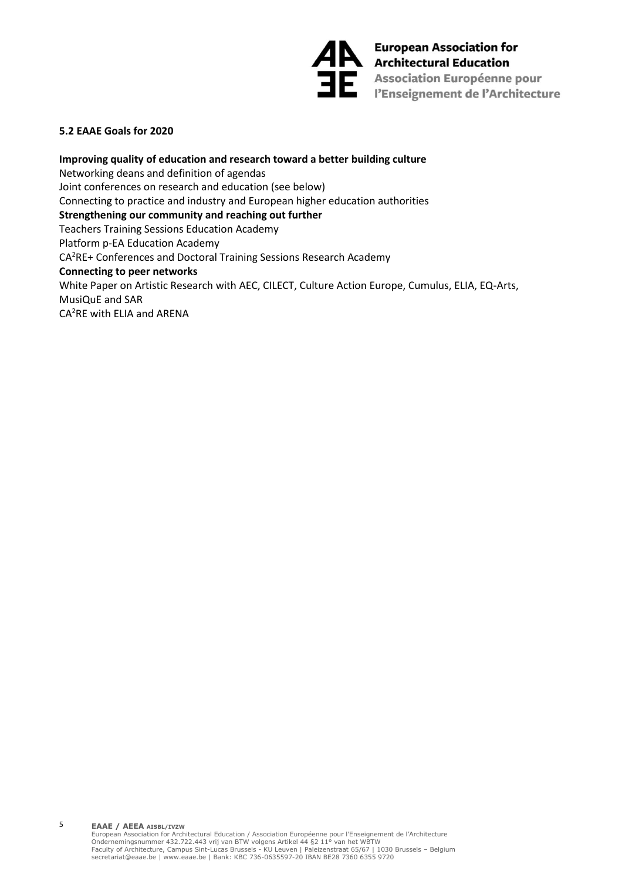

**AN** European Association for<br>Architectural Education Association Européenne pour<br>l'Enseignement de l'Architecture

## **5.2 EAAE Goals for 2020**

**Improving quality of education and research toward a better building culture** Networking deans and definition of agendas Joint conferences on research and education (see below) Connecting to practice and industry and European higher education authorities **Strengthening our community and reaching out further** Teachers Training Sessions Education Academy Platform p-EA Education Academy CA<sup>2</sup>RE+ Conferences and Doctoral Training Sessions Research Academy **Connecting to peer networks** White Paper on Artistic Research with AEC, CILECT, Culture Action Europe, Cumulus, ELIA, EQ-Arts, MusiQuE and SAR CA2RE with ELIA and ARENA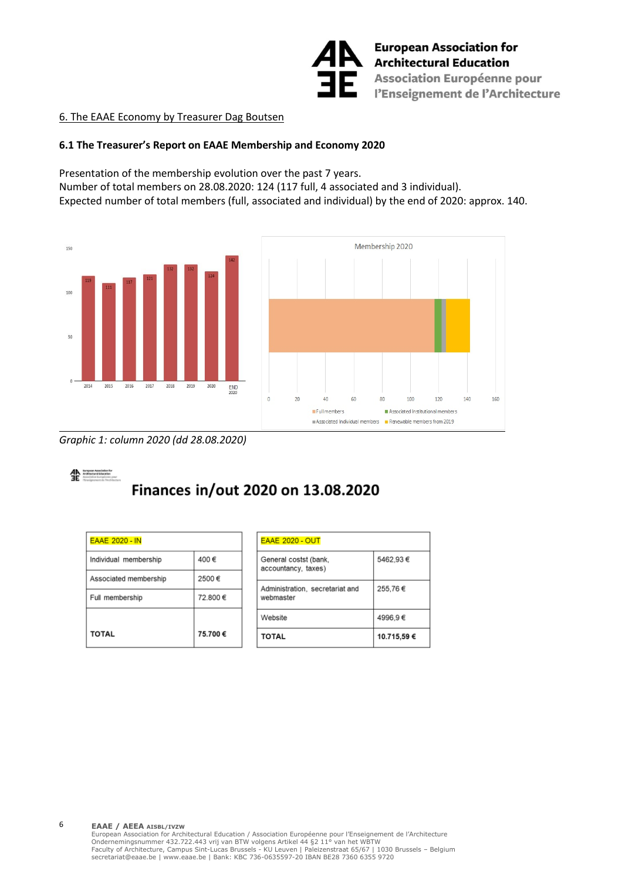

## 6. The EAAE Economy by Treasurer Dag Boutsen

## **6.1 The Treasurer's Report on EAAE Membership and Economy 2020**

Presentation of the membership evolution over the past 7 years. Number of total members on 28.08.2020: 124 (117 full, 4 associated and 3 individual). Expected number of total members (full, associated and individual) by the end of 2020: approx. 140.





*Graphic 1: column 2020 (dd 28.08.2020)*



## Finances in/out 2020 on 13.08.2020

| <b>EAAE 2020 - IN</b> |         |
|-----------------------|---------|
| Individual membership | 400€    |
| Associated membership | 2500€   |
| Full membership       | 72.800€ |
|                       |         |
| <b>TOTAL</b>          | 75.700€ |

| <b>EAAE 2020 - OUT</b>                       |            |
|----------------------------------------------|------------|
| General costst (bank,<br>accountancy, taxes) | 5462,93€   |
| Administration, secretariat and<br>webmaster | 255,76€    |
| Website                                      | 4996,9€    |
| <b>TOTAL</b>                                 | 10.715.59€ |

#### **EAAE / AEEA AISBL/IVZW**

6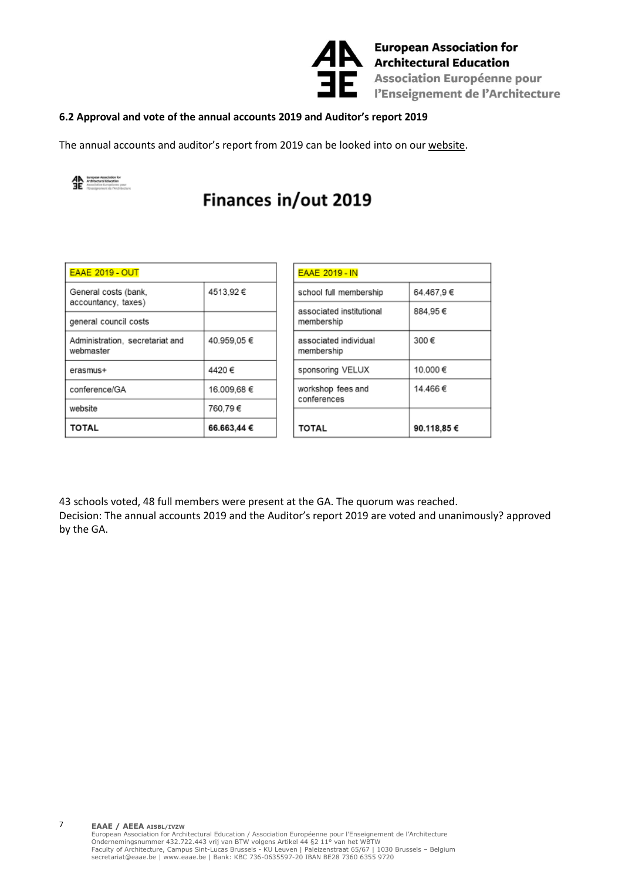

European Association fo<br>Architectural Education<br>Association Européenne **European Association for** Association Européenne pour l'Enseignement de l'Architecture

## **6.2 Approval and vote of the annual accounts 2019 and Auditor's report 2019**

The annual accounts and auditor's report from 2019 can be looked into on our [website.](http://www.eaae.be/wp-content/uploads/2020/07/Provisional-Annual-accounts-EAAE-2019__CM-05062020.pdf)



7

# Finances in/out 2019

| <b>EAAE 2019 - OUT</b>                       |             |
|----------------------------------------------|-------------|
| General costs (bank,<br>accountancy, taxes)  | 4513.92€    |
| general council costs                        |             |
| Administration, secretariat and<br>webmaster | 40.959,05€  |
| erasmus+                                     | 4420€       |
| conference/GA                                | 16.009,68 € |
| website                                      | 760,79€     |
| <b>TOTAL</b>                                 | 66.663,44 € |

| <b>EAAE 2019 - IN</b>                  |             |  |
|----------------------------------------|-------------|--|
| school full membership                 | 64.467,9€   |  |
| associated institutional<br>membership | 884.95€     |  |
| associated individual<br>membership    | 300€        |  |
| sponsoring VELUX                       | 10.000€     |  |
| workshop fees and<br>conferences       | 14.466€     |  |
|                                        |             |  |
| TOTAL                                  | 90.118,85 € |  |

43 schools voted, 48 full members were present at the GA. The quorum was reached. Decision: The annual accounts 2019 and the Auditor's report 2019 are voted and unanimously? approved by the GA.

**EAAE / AEEA AISBL/IVZW** European Association for Architectural Education / Association Européenne pour l'Enseignement de l'Architecture<br>Ondernemingsnummer 432.722.443 vrij van BTW volgens Artikel 44 §2 11° van het WBTW<br>Faculty of Architecture, Ca secretariat@eaae.be | www.eaae.be | Bank: KBC 736-0635597-20 IBAN BE28 7360 6355 9720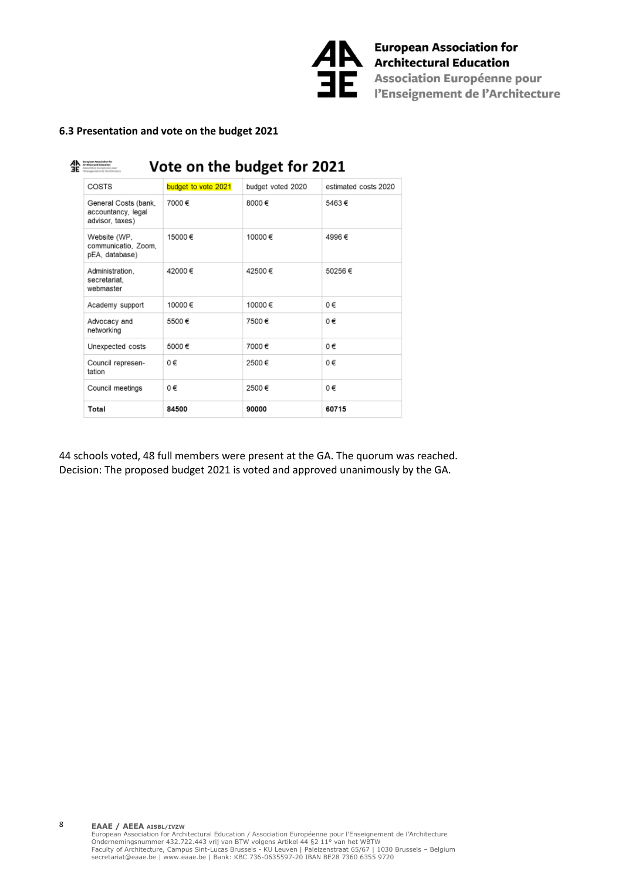

## **6.3 Presentation and vote on the budget 2021**

|  | European Association for<br>Architectural Education<br>Vote on the budget for 2021<br>telos tiuropócnino pou |                     |                   |                      |
|--|--------------------------------------------------------------------------------------------------------------|---------------------|-------------------|----------------------|
|  | COSTS                                                                                                        | budget to vote 2021 | budget voted 2020 | estimated costs 2020 |
|  | General Costs (bank,<br>accountancy, legal<br>advisor, taxes)                                                | 7000€               | $8000 \in$        | 5463€                |
|  | Website (WP,<br>communicatio. Zoom.<br>pEA, database)                                                        | 15000€              | 10000€            | 4996€                |
|  | Administration.<br>secretariat.<br>webmaster                                                                 | 42000€              | 42500€            | 50256€               |
|  | Academy support                                                                                              | 10000 $∈$           | 10000€            | 0€                   |
|  | Advocacy and<br>networking                                                                                   | 5500€               | 7500€             | 0€                   |
|  | Unexpected costs                                                                                             | 5000€               | 7000€             | ∩€                   |
|  | Council represen-<br>tation                                                                                  | $0 \in$             | 2500€             | $0 \in$              |
|  | Council meetings                                                                                             | 0€                  | 2500€             | 0€                   |
|  | Total                                                                                                        | 84500               | 90000             | 60715                |

44 schools voted, 48 full members were present at the GA. The quorum was reached. Decision: The proposed budget 2021 is voted and approved unanimously by the GA.

**EAAE / AEEA AISBL/IVZW** European Association for Architectural Education / Association Européenne pour l'Enseignement de l'Architecture<br>Ondernemingsnummer 432.722.443 vrij van BTW volgens Artikel 44 §2 11° van het WBTW<br>Faculty of Architecture, Ca

8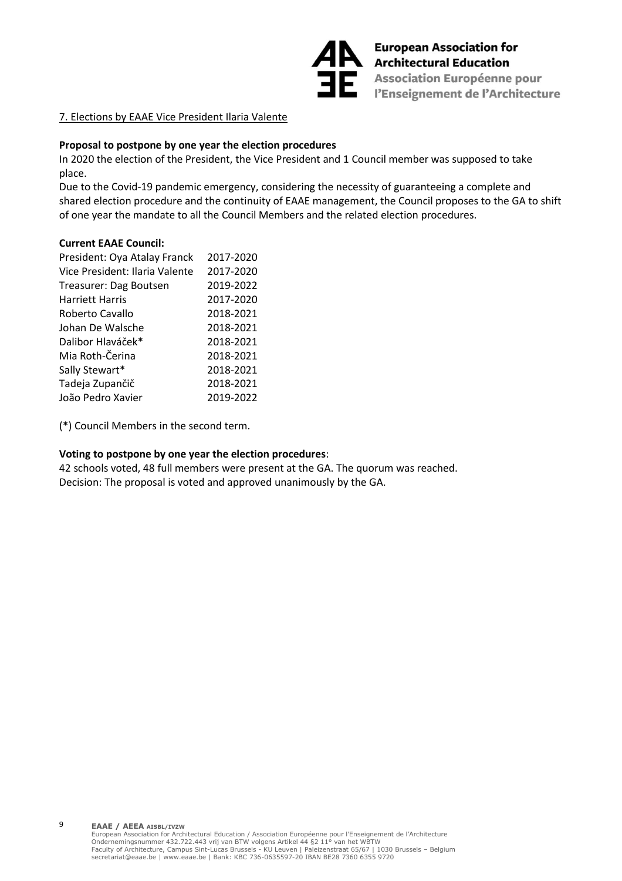

European Association for<br>Architectural Education Association Européenne pour<br>l'Enseignement de l'Architecture

## 7. Elections by EAAE Vice President Ilaria Valente

## **Proposal to postpone by one year the election procedures**

In 2020 the election of the President, the Vice President and 1 Council member was supposed to take place.

Due to the Covid-19 pandemic emergency, considering the necessity of guaranteeing a complete and shared election procedure and the continuity of EAAE management, the Council proposes to the GA to shift of one year the mandate to all the Council Members and the related election procedures.

## **Current EAAE Council:**

9

| President: Oya Atalay Franck   | 2017-2020 |
|--------------------------------|-----------|
| Vice President: Ilaria Valente | 2017-2020 |
| Treasurer: Dag Boutsen         | 2019-2022 |
| <b>Harriett Harris</b>         | 2017-2020 |
| Roberto Cavallo                | 2018-2021 |
| Johan De Walsche               | 2018-2021 |
| Dalibor Hlaváček*              | 2018-2021 |
| Mia Roth-Čerina                | 2018-2021 |
| Sally Stewart*                 | 2018-2021 |
| Tadeja Zupančič                | 2018-2021 |
| João Pedro Xavier              | 2019-2022 |

(\*) Council Members in the second term.

## **Voting to postpone by one year the election procedures**:

42 schools voted, 48 full members were present at the GA. The quorum was reached. Decision: The proposal is voted and approved unanimously by the GA.

**EAAE / AEEA AISBL/IVZW** European Association for Architectural Education / Association Européenne pour l'Enseignement de l'Architecture<br>Ondernemingsnummer 432.722.443 vrij van BTW volgens Artikel 44 §2 11° van het WBTW<br>Faculty of Architecture, Ca secretariat@eaae.be | www.eaae.be | Bank: KBC 736-0635597-20 IBAN BE28 7360 6355 9720